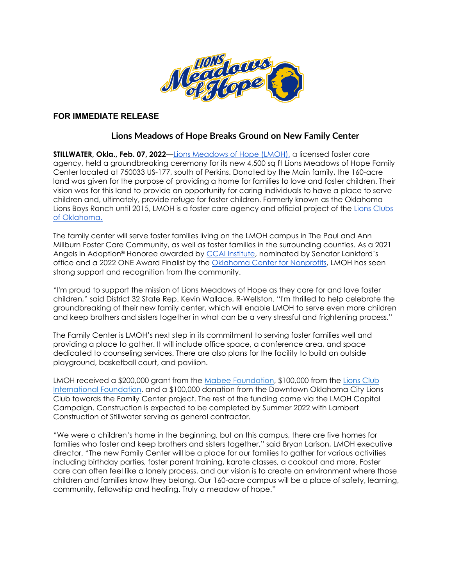

## **FOR IMMEDIATE RELEASE**

# **Lions Meadows of Hope Breaks Ground on New Family Center**

**STILLWATER, Okla., Feb. 07, 2022**[—Lions Meadows of Hope \(LMOH\),](http://www.lionsmoh.org/) a licensed foster care agency, held a groundbreaking ceremony for its new 4,500 sq ft Lions Meadows of Hope Family Center located at 750033 US-177, south of Perkins. Donated by the Main family, the 160-acre land was given for the purpose of providing a home for families to love and foster children. Their vision was for this land to provide an opportunity for caring individuals to have a place to serve children and, ultimately, provide refuge for foster children. Formerly known as the Oklahoma Lions Boys Ranch until 2015, LMOH is a foster care agency and official project of the [Lions Clubs](https://www.oklionsfoundation.org/)  [of Oklahoma.](https://www.oklionsfoundation.org/)

The family center will serve foster families living on the LMOH campus in The Paul and Ann Millburn Foster Care Community, as well as foster families in the surrounding counties. As a 2021 Angels in Adoption® Honoree awarded by [CCAI Institute,](https://www.stwnewspress.com/news/lions-meadows-of-hope-receives-angel-in-adoption-award/article_957a6926-4f0a-11ec-bbde-a7bd597899aa.html) nominated by Senator Lankford's office and a 2022 ONE Award Finalist by the [Oklahoma Center for Nonprofits,](https://okcnp.org/page/one-awards) LMOH has seen strong support and recognition from the community.

"I'm proud to support the mission of Lions Meadows of Hope as they care for and love foster children," said District 32 State Rep. Kevin Wallace, R-Wellston. "I'm thrilled to help celebrate the groundbreaking of their new family center, which will enable LMOH to serve even more children and keep brothers and sisters together in what can be a very stressful and frightening process."

The Family Center is LMOH's next step in its commitment to serving foster families well and providing a place to gather. It will include office space, a conference area, and space dedicated to counseling services. There are also plans for the facility to build an outside playground, basketball court, and pavilion.

LMOH received a \$200,000 grant from the [Mabee Foundation,](https://mabeefoundation.com/) \$100,000 from the Lions Club [International Foundation,](https://www.lionsclubs.org/en) and a \$100,000 donation from the Downtown Oklahoma City Lions Club towards the Family Center project. The rest of the funding came via the LMOH Capital Campaign. Construction is expected to be completed by Summer 2022 with Lambert Construction of Stillwater serving as general contractor.

"We were a children's home in the beginning, but on this campus, there are five homes for families who foster and keep brothers and sisters together," said Bryan Larison, LMOH executive director. "The new Family Center will be a place for our families to gather for various activities including birthday parties, foster parent training, karate classes, a cookout and more. Foster care can often feel like a lonely process, and our vision is to create an environment where those children and families know they belong. Our 160-acre campus will be a place of safety, learning, community, fellowship and healing. Truly a meadow of hope."